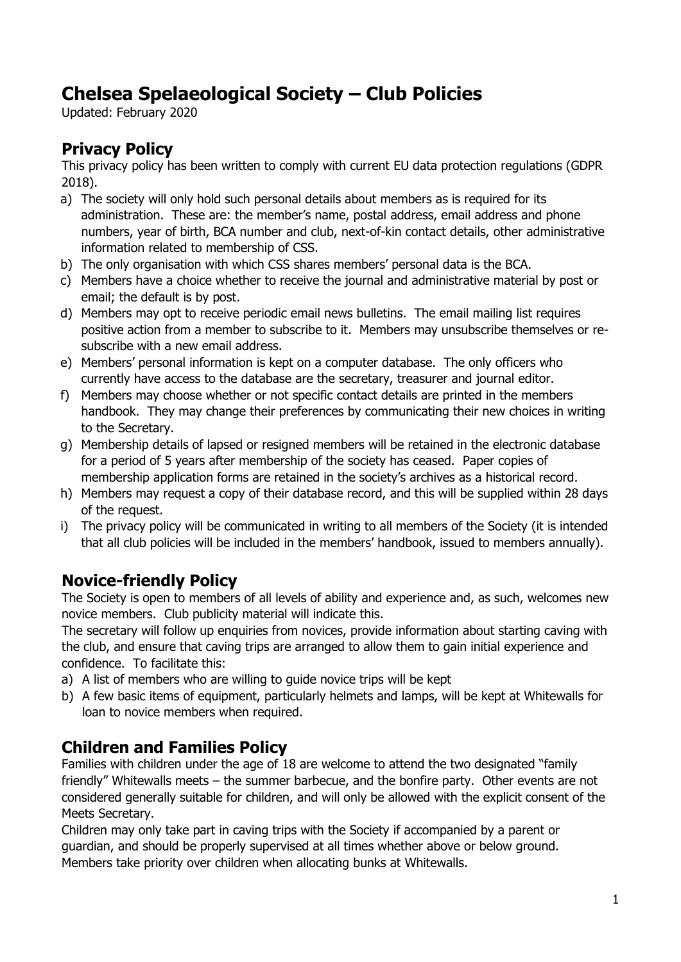# **Chelsea Spelaeological Society – Club Policies**

Updated: February 2020

## **Privacy Policy**

This privacy policy has been written to comply with current EU data protection regulations (GDPR 2018).

- a) The society will only hold such personal details about members as is required for its administration. These are: the member's name, postal address, email address and phone numbers, year of birth, BCA number and club, next-of-kin contact details, other administrative information related to membership of CSS.
- b) The only organisation with which CSS shares members' personal data is the BCA.
- c) Members have a choice whether to receive the journal and administrative material by post or email; the default is by post.
- d) Members may opt to receive periodic email news bulletins. The email mailing list requires positive action from a member to subscribe to it. Members may unsubscribe themselves or resubscribe with a new email address.
- e) Members' personal information is kept on a computer database. The only officers who currently have access to the database are the secretary, treasurer and journal editor.
- f) Members may choose whether or not specific contact details are printed in the members handbook. They may change their preferences by communicating their new choices in writing to the Secretary.
- g) Membership details of lapsed or resigned members will be retained in the electronic database for a period of 5 years after membership of the society has ceased. Paper copies of membership application forms are retained in the society's archives as a historical record.
- h) Members may request a copy of their database record, and this will be supplied within 28 days of the request.
- i) The privacy policy will be communicated in writing to all members of the Society (it is intended that all club policies will be included in the members' handbook, issued to members annually).

# **Novice-friendly Policy**

The Society is open to members of all levels of ability and experience and, as such, welcomes new novice members. Club publicity material will indicate this.

The secretary will follow up enquiries from novices, provide information about starting caving with the club, and ensure that caving trips are arranged to allow them to gain initial experience and confidence. To facilitate this:

- a) A list of members who are willing to guide novice trips will be kept
- b) A few basic items of equipment, particularly helmets and lamps, will be kept at Whitewalls for loan to novice members when required.

## **Children and Families Policy**

Families with children under the age of 18 are welcome to attend the two designated "family friendly" Whitewalls meets – the summer barbecue, and the bonfire party. Other events are not considered generally suitable for children, and will only be allowed with the explicit consent of the Meets Secretary.

Children may only take part in caving trips with the Society if accompanied by a parent or guardian, and should be properly supervised at all times whether above or below ground. Members take priority over children when allocating bunks at Whitewalls.